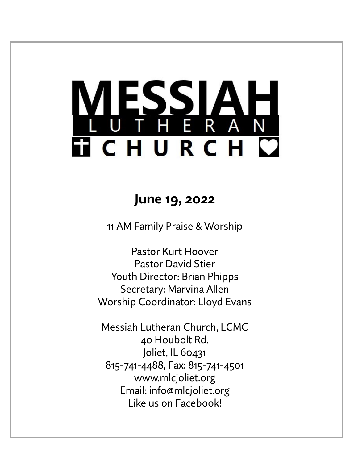# <u>ESSIA</u> THERAN **TICHURCH C**

# **June 19, 2022**

11 AM Family Praise & Worship

Pastor Kurt Hoover Pastor David Stier Youth Director: Brian Phipps Secretary: Marvina Allen Worship Coordinator: Lloyd Evans

Messiah Lutheran Church, LCMC 40 Houbolt Rd. Joliet, IL 60431 815-741-4488, Fax: 815-741-4501 www.mlcjoliet.org Email: info@mlcjoliet.org Like us on Facebook!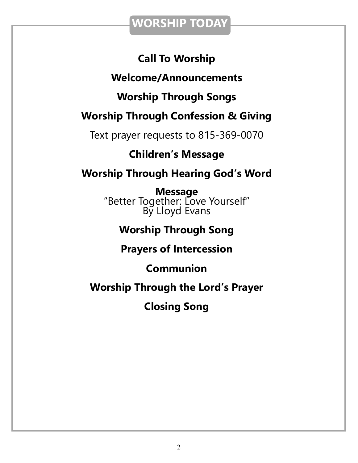## **WORSHIP TODAY**

### **Call To Worship**

### **Welcome/Announcements**

### **Worship Through Songs**

## **Worship Through Confession & Giving**

Text prayer requests to 815-369-0070

### **Children's Message**

## **Worship Through Hearing God's Word**

**Message** "Better Together: Love Yourself" By Lloyd Evans

## **Worship Through Song**

### **Prayers of Intercession**

### **Communion**

### **Worship Through the Lord's Prayer**

# **Closing Song**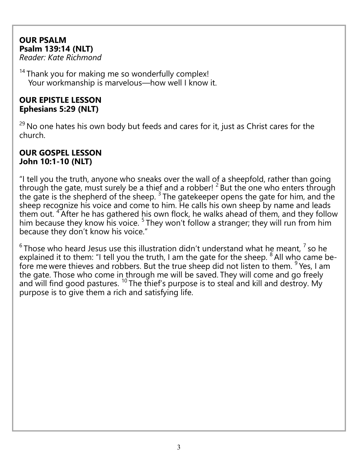### **OUR PSALM Psalm 139:14 (NLT)**

*Reader: Kate Richmond*

<sup>14</sup> Thank you for making me so wonderfully complex! Your workmanship is marvelous—how well I know it.

### **OUR EPISTLE LESSON Ephesians 5:29 (NLT)**

 $29$  No one hates his own body but feeds and cares for it, just as Christ cares for the church.

### **OUR GOSPEL LESSON John 10:1-10 (NLT)**

"I tell you the truth, anyone who sneaks over the wall of a sheepfold, rather than going through the gate, must surely be a thief and a robber!  $2^2$  But the one who enters through the gate is the shepherd of the sheep.  $3$  The gatekeeper opens the gate for him, and the sheep recognize his voice and come to him. He calls his own sheep by name and leads them out. <sup>4</sup> After he has gathered his own flock, he walks ahead of them, and they follow him because they know his voice. <sup>5</sup> They won't follow a stranger; they will run from him because they don't know his voice."

 $^6$ Those who heard Jesus use this illustration didn't understand what he meant,  $^7$  so he explained it to them: "I tell you the truth, I am the gate for the sheep.  $8$  All who came before me were thieves and robbers. But the true sheep did not listen to them. <sup>9</sup> Yes, I am the gate. Those who come in through me will be saved. They will come and go freely and will find good pastures.<sup>10</sup> The thief's purpose is to steal and kill and destroy. My purpose is to give them a rich and satisfying life.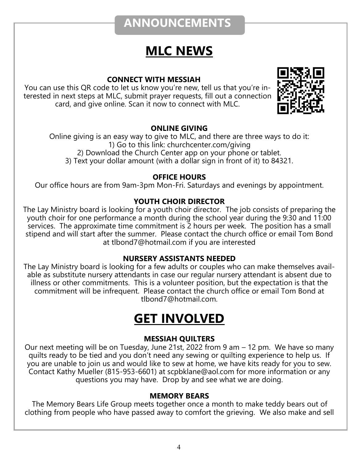# **ANNOUNCEMENTS**

# **MLC NEWS**

### **CONNECT WITH MESSIAH**

You can use this QR code to let us know you're new, tell us that you're interested in next steps at MLC, submit prayer requests, fill out a connection card, and give online. Scan it now to connect with MLC.



### **ONLINE GIVING**

Online giving is an easy way to give to MLC, and there are three ways to do it: 1) Go to this link: churchcenter.com/giving 2) Download the Church Center app on your phone or tablet. 3) Text your dollar amount (with a dollar sign in front of it) to 84321.

### **OFFICE HOURS**

Our office hours are from 9am-3pm Mon-Fri. Saturdays and evenings by appointment.

### **YOUTH CHOIR DIRECTOR**

The Lay Ministry board is looking for a youth choir director. The job consists of preparing the youth choir for one performance a month during the school year during the 9:30 and 11:00 services. The approximate time commitment is 2 hours per week. The position has a small stipend and will start after the summer. Please contact the church office or email Tom Bond at tlbond7@hotmail.com if you are interested

#### **NURSERY ASSISTANTS NEEDED**

The Lay Ministry board is looking for a few adults or couples who can make themselves available as substitute nursery attendants in case our regular nursery attendant is absent due to illness or other commitments. This is a volunteer position, but the expectation is that the commitment will be infrequent. Please contact the church office or email Tom Bond at tlbond7@hotmail.com.

# **GET INVOLVED**

### **MESSIAH QUILTERS**

Our next meeting will be on Tuesday, June 21st, 2022 from 9 am – 12 pm. We have so many quilts ready to be tied and you don't need any sewing or quilting experience to help us. If you are unable to join us and would like to sew at home, we have kits ready for you to sew. Contact Kathy Mueller (815-953-6601) at scpbklane@aol.com for more information or any questions you may have. Drop by and see what we are doing.

#### **MEMORY BEARS**

The Memory Bears Life Group meets together once a month to make teddy bears out of clothing from people who have passed away to comfort the grieving. We also make and sell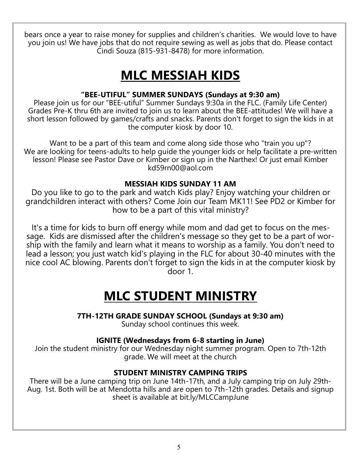bears once a year to raise money for supplies and children's charities. We would love to have you join us! We have jobs that do not require sewing as well as jobs that do. Please contact Cindi Souza (815-931-8478) for more information.

# **MLC MESSIAH KIDS**

### **"BEE-UTIFUL" SUMMER SUNDAYS (Sundays at 9:30 am)**

Please join us for our "BEE-utiful" Summer Sundays 9:30a in the FLC. (Family Life Center) Grades Pre-K thru 6th are invited to join us to learn about the BEE-attitudes! We will have a short lesson followed by games/crafts and snacks. Parents don't forget to sign the kids in at the computer kiosk by door 10.

Want to be a part of this team and come along side those who "train you up"? We are looking for teens-adults to help guide the younger kids or help facilitate a pre-written lesson! Please see Pastor Dave or Kimber or sign up in the Narthex! Or just email Kimber kd59rn00@aol.com

### **MESSIAH KIDS SUNDAY 11 AM**

Do you like to go to the park and watch Kids play? Enjoy watching your children or grandchildren interact with others? Come Join our Team MK11! See PD2 or Kimber for how to be a part of this vital ministry?

It's a time for kids to burn off energy while mom and dad get to focus on the message. Kids are dismissed after the children's message so they get to be a part of worship with the family and learn what it means to worship as a family. You don't need to lead a lesson; you just watch kid's playing in the FLC for about 30-40 minutes with the nice cool AC blowing. Parents don't forget to sign the kids in at the computer kiosk by door 1.

# **MLC STUDENT MINISTRY**

**7TH-12TH GRADE SUNDAY SCHOOL (Sundays at 9:30 am)**

Sunday school continues this week.

### **IGNITE (Wednesdays from 6-8 starting in June)**

Join the student ministry for our Wednesday night summer program. Open to 7th-12th grade. We will meet at the church

#### **STUDENT MINISTRY CAMPING TRIPS**

There will be a June camping trip on June 14th-17th, and a July camping trip on July 29th-Aug. 1st. Both will be at Mendotta hills and are open to 7th-12th grades. Details and signup sheet is available at bit.ly/MLCCampJune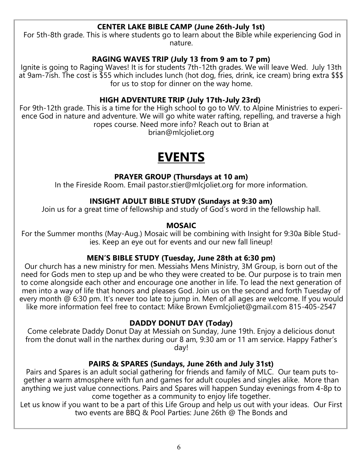### **CENTER LAKE BIBLE CAMP (June 26th-July 1st)**

For 5th-8th grade. This is where students go to learn about the Bible while experiencing God in nature.

### **RAGING WAVES TRIP (July 13 from 9 am to 7 pm)**

Ignite is going to Raging Waves! It is for students 7th-12th grades. We will leave Wed. July 13th at 9am-7ish. The cost is \$55 which includes lunch (hot dog, fries, drink, ice cream) bring extra \$\$\$ for us to stop for dinner on the way home.

### **HIGH ADVENTURE TRIP (July 17th-July 23rd)**

For 9th-12th grade. This is a time for the High school to go to WV. to Alpine Ministries to experience God in nature and adventure. We will go white water rafting, repelling, and traverse a high ropes course. Need more info? Reach out to Brian at

brian@mlcjoliet.org

# **EVENTS**

### **PRAYER GROUP (Thursdays at 10 am)**

In the Fireside Room. Email pastor.stier@mlcjoliet.org for more information.

#### **INSIGHT ADULT BIBLE STUDY (Sundays at 9:30 am)**

Join us for a great time of fellowship and study of God's word in the fellowship hall.

#### **MOSAIC**

For the Summer months (May-Aug.) Mosaic will be combining with Insight for 9:30a Bible Studies. Keep an eye out for events and our new fall lineup!

#### **MEN'S BIBLE STUDY (Tuesday, June 28th at 6:30 pm)**

Our church has a new ministry for men. Messiahs Mens Ministry, 3M Group, is born out of the need for Gods men to step up and be who they were created to be. Our purpose is to train men to come alongside each other and encourage one another in life. To lead the next generation of men into a way of life that honors and pleases God. Join us on the second and forth Tuesday of every month @ 6:30 pm. It's never too late to jump in. Men of all ages are welcome. If you would like more information feel free to contact: Mike Brown Evmlcjoliet@gmail.com 815-405-2547

#### **DADDY DONUT DAY (Today)**

Come celebrate Daddy Donut Day at Messiah on Sunday, June 19th. Enjoy a delicious donut from the donut wall in the narthex during our 8 am, 9:30 am or 11 am service. Happy Father's day!

#### **PAIRS & SPARES (Sundays, June 26th and July 31st)**

Pairs and Spares is an adult social gathering for friends and family of MLC. Our team puts together a warm atmosphere with fun and games for adult couples and singles alike. More than anything we just value connections. Pairs and Spares will happen Sunday evenings from 4-8p to come together as a community to enjoy life together.

Let us know if you want to be a part of this Life Group and help us out with your ideas. Our First two events are BBQ & Pool Parties: June 26th @ The Bonds and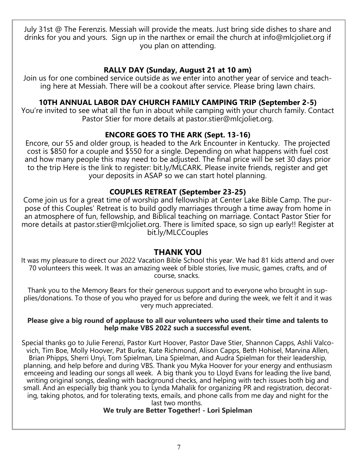July 31st @ The Ferenzis. Messiah will provide the meats. Just bring side dishes to share and drinks for you and yours. Sign up in the narthex or email the church at info@mlcjoliet.org if you plan on attending.

#### **RALLY DAY (Sunday, August 21 at 10 am)**

Join us for one combined service outside as we enter into another year of service and teaching here at Messiah. There will be a cookout after service. Please bring lawn chairs.

### **10TH ANNUAL LABOR DAY CHURCH FAMILY CAMPING TRIP (September 2-5)**

You're invited to see what all the fun in about while camping with your church family. Contact Pastor Stier for more details at pastor.stier@mlcjoliet.org.

### **ENCORE GOES TO THE ARK (Sept. 13-16)**

Encore, our 55 and older group, is headed to the Ark Encounter in Kentucky. The projected cost is \$850 for a couple and \$550 for a single. Depending on what happens with fuel cost and how many people this may need to be adjusted. The final price will be set 30 days prior to the trip Here is the link to register: bit.ly/MLCARK. Please invite friends, register and get your deposits in ASAP so we can start hotel planning.

### **COUPLES RETREAT (September 23-25)**

Come join us for a great time of worship and fellowship at Center Lake Bible Camp. The purpose of this Couples' Retreat is to build godly marriages through a time away from home in an atmosphere of fun, fellowship, and Biblical teaching on marriage. Contact Pastor Stier for more details at pastor.stier@mlcjoliet.org. There is limited space, so sign up early!! Register at bit.ly/MLCCouples

#### **THANK YOU**

It was my pleasure to direct our 2022 Vacation Bible School this year. We had 81 kids attend and over 70 volunteers this week. It was an amazing week of bible stories, live music, games, crafts, and of course, snacks.

Thank you to the Memory Bears for their generous support and to everyone who brought in supplies/donations. To those of you who prayed for us before and during the week, we felt it and it was very much appreciated.

#### **Please give a big round of applause to all our volunteers who used their time and talents to help make VBS 2022 such a successful event.**

Special thanks go to Julie Ferenzi, Pastor Kurt Hoover, Pastor Dave Stier, Shannon Capps, Ashli Valcovich, Tim Boe, Molly Hoover, Pat Burke, Kate Richmond, Alison Capps, Beth Hohisel, Marvina Allen, Brian Phipps, Sherri Unyi, Tom Spielman, Lina Spielman, and Audra Spielman for their leadership, planning, and help before and during VBS. Thank you Myka Hoover for your energy and enthusiasm emceeing and leading our songs all week. A big thank you to Lloyd Evans for leading the live band, writing original songs, dealing with background checks, and helping with tech issues both big and small. And an especially big thank you to Lynda Mahalik for organizing PR and registration, decorating, taking photos, and for tolerating texts, emails, and phone calls from me day and night for the last two months.

### **We truly are Better Together! - Lori Spielman**